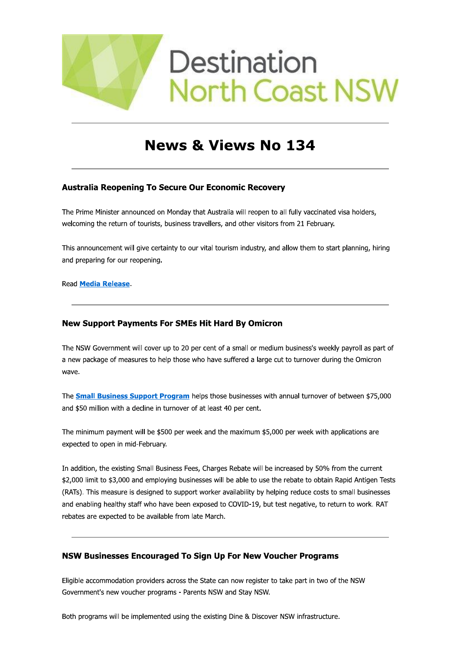

# **News & Views No 134**

# **Australia Reopening To Secure Our Economic Recovery**

The Prime Minister announced on Monday that Australia will reopen to all fully vaccinated visa holders, welcoming the return of tourists, business travellers, and other visitors from 21 February.

This announcement will give certainty to our vital tourism industry, and allow them to start planning, hiring and preparing for our reopening.

**Read Media Release.** 

# **New Support Payments For SMEs Hit Hard By Omicron**

The NSW Government will cover up to 20 per cent of a small or medium business's weekly payroll as part of a new package of measures to help those who have suffered a large cut to turnover during the Omicron wave.

The **Small Business Support Program** helps those businesses with annual turnover of between \$75,000 and \$50 million with a decline in turnover of at least 40 per cent.

The minimum payment will be \$500 per week and the maximum \$5,000 per week with applications are expected to open in mid-February.

In addition, the existing Small Business Fees, Charges Rebate will be increased by 50% from the current \$2,000 limit to \$3,000 and employing businesses will be able to use the rebate to obtain Rapid Antigen Tests (RATs). This measure is designed to support worker availability by helping reduce costs to small businesses and enabling healthy staff who have been exposed to COVID-19, but test negative, to return to work. RAT rebates are expected to be available from late March.

# **NSW Businesses Encouraged To Sign Up For New Voucher Programs**

Eligible accommodation providers across the State can now register to take part in two of the NSW Government's new voucher programs - Parents NSW and Stay NSW.

Both programs will be implemented using the existing Dine & Discover NSW infrastructure.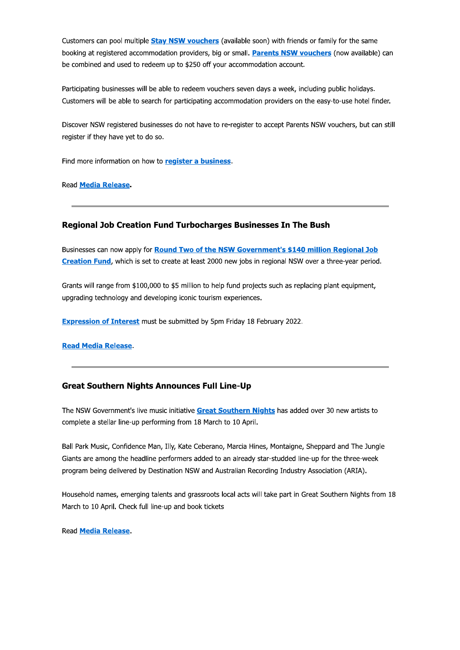Customers can pool multiple **Stay NSW vouchers** (available soon) with friends or family for the same booking at registered accommodation providers, big or small. Parents NSW vouchers (now available) can be combined and used to redeem up to \$250 off your accommodation account.

Participating businesses will be able to redeem vouchers seven days a week, including public holidays. Customers will be able to search for participating accommodation providers on the easy-to-use hotel finder.

Discover NSW registered businesses do not have to re-register to accept Parents NSW vouchers, but can still register if they have yet to do so.

Find more information on how to register a business.

**Read Media Release.** 

# **Regional Job Creation Fund Turbocharges Businesses In The Bush**

Businesses can now apply for **Round Two of the NSW Government's \$140 million Regional Job** Creation Fund, which is set to create at least 2000 new jobs in regional NSW over a three-year period.

Grants will range from \$100,000 to \$5 million to help fund projects such as replacing plant equipment, upgrading technology and developing iconic tourism experiences.

**Expression of Interest** must be submitted by 5pm Friday 18 February 2022.

**Read Media Release.** 

## **Great Southern Nights Announces Full Line-Up**

The NSW Government's live music initiative Great Southern Nights has added over 30 new artists to complete a stellar line-up performing from 18 March to 10 April.

Ball Park Music, Confidence Man, Illy, Kate Ceberano, Marcia Hines, Montaigne, Sheppard and The Jungle Giants are among the headline performers added to an already star-studded line-up for the three-week program being delivered by Destination NSW and Australian Recording Industry Association (ARIA).

Household names, emerging talents and grassroots local acts will take part in Great Southern Nights from 18 March to 10 April. Check full line-up and book tickets

**Read Media Release.**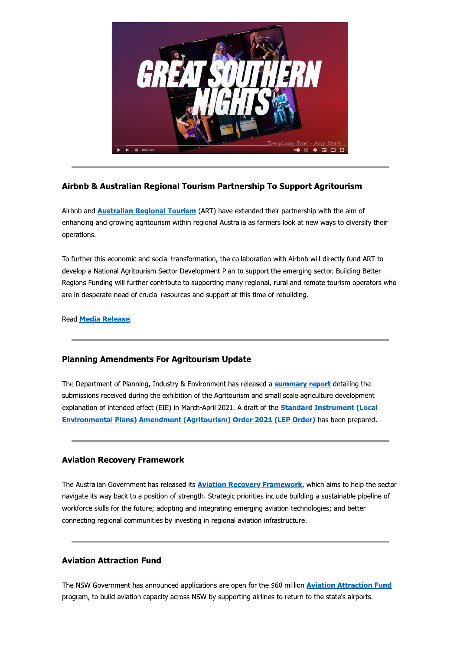

# Airbnb & Australian Regional Tourism Partnership To Support Agritourism

Airbnb and **Australian Regional Tourism** (ART) have extended their partnership with the aim of enhancing and growing agritourism within regional Australia as farmers look at new ways to diversify their operations.

To further this economic and social transformation, the collaboration with Airbnb will directly fund ART to develop a National Agritourism Sector Development Plan to support the emerging sector. Building Better Regions Funding will further contribute to supporting many regional, rural and remote tourism operators who are in desperate need of crucial resources and support at this time of rebuilding.

Read **Media Release**.

# **Planning Amendments For Agritourism Update**

The Department of Planning, Industry & Environment has released a **summary report** detailing the submissions received during the exhibition of the Agritourism and small scale agriculture development explanation of intended effect (EIE) in March-April 2021. A draft of the **Standard Instrument (Local** Environmental Plans) Amendment (Agritourism) Order 2021 (LEP Order) has been prepared.

# **Aviation Recovery Framework**

The Australian Government has released its **Aviation Recovery Framework**, which aims to help the sector navigate its way back to a position of strength. Strategic priorities include building a sustainable pipeline of workforce skills for the future; adopting and integrating emerging aviation technologies; and better connecting regional communities by investing in regional aviation infrastructure.

# **Aviation Attraction Fund**

The NSW Government has announced applications are open for the \$60 million **Aviation Attraction Fund** program, to build aviation capacity across NSW by supporting airlines to return to the state's airports.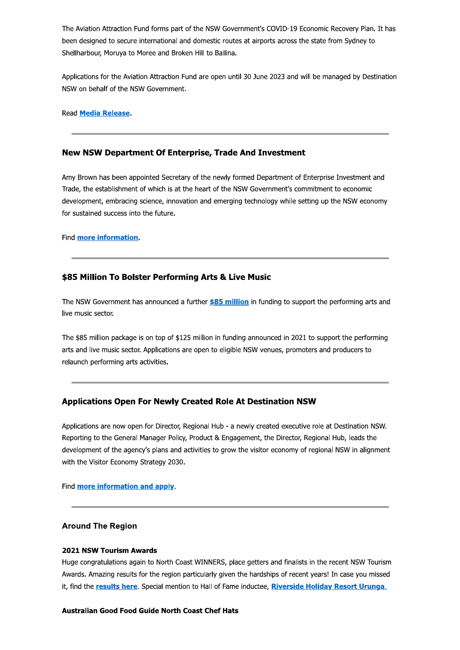The Aviation Attraction Fund forms part of the NSW Government's COVID-19 Economic Recovery Plan. It has been designed to secure international and domestic routes at airports across the state from Sydney to Shellharbour, Moruya to Moree and Broken Hill to Ballina.

Applications for the Aviation Attraction Fund are open until 30 June 2023 and will be managed by Destination NSW on behalf of the NSW Government.

Read Media Release.

## New NSW Department Of Enterprise, Trade And Investment

Amy Brown has been appointed Secretary of the newly formed Department of Enterprise Investment and Trade, the establishment of which is at the heart of the NSW Government's commitment to economic development, embracing science, innovation and emerging technology while setting up the NSW economy for sustained success into the future.

Find more information.

## \$85 Million To Bolster Performing Arts & Live Music

The NSW Government has announced a further \$85 million in funding to support the performing arts and live music sector.

The \$85 million package is on top of \$125 million in funding announced in 2021 to support the performing arts and live music sector. Applications are open to eligible NSW venues, promoters and producers to relaunch performing arts activities.

# **Applications Open For Newly Created Role At Destination NSW**

Applications are now open for Director, Regional Hub - a newly created executive role at Destination NSW. Reporting to the General Manager Policy, Product & Engagement, the Director, Regional Hub, leads the development of the agency's plans and activities to grow the visitor economy of regional NSW in alignment with the Visitor Economy Strategy 2030.

Find more information and apply.

## **Around The Region**

#### **2021 NSW Tourism Awards**

Huge congratulations again to North Coast WINNERS, place getters and finalists in the recent NSW Tourism Awards. Amazing results for the region particularly given the hardships of recent years! In case you missed it, find the results here. Special mention to Hall of Fame inductee, Riverside Holiday Resort Urunga.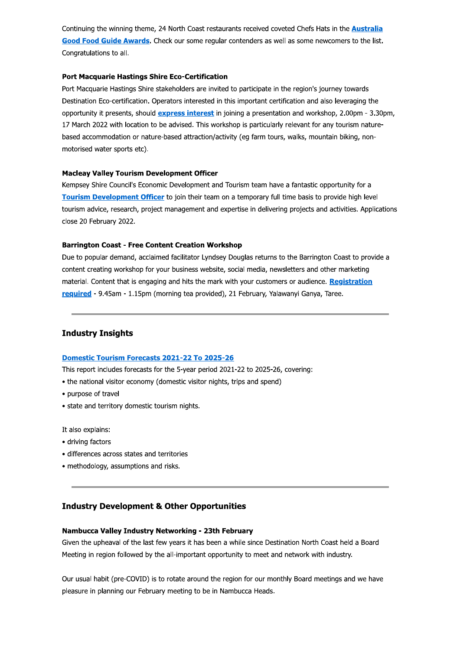Continuing the winning theme, 24 North Coast restaurants received coveted Chefs Hats in the **Australia** Good Food Guide Awards. Check our some reqular contenders as well as some newcomers to the list. Congratulations to all.

#### **Port Macquarie Hastings Shire Eco-Certification**

Port Macquarie Hastings Shire stakeholders are invited to participate in the region's journey towards Destination Eco-certification. Operators interested in this important certification and also leveraging the opportunity it presents, should express interest in joining a presentation and workshop, 2.00pm - 3.30pm, 17 March 2022 with location to be advised. This workshop is particularly relevant for any tourism naturebased accommodation or nature-based attraction/activity (eq farm tours, walks, mountain biking, nonmotorised water sports etc).

#### **Macleay Valley Tourism Development Officer**

Kempsey Shire Council's Economic Development and Tourism team have a fantastic opportunity for a Tourism Development Officer to join their team on a temporary full time basis to provide high level tourism advice, research, project management and expertise in delivering projects and activities. Applications close 20 February 2022.

#### **Barrington Coast - Free Content Creation Workshop**

Due to popular demand, acclaimed facilitator Lyndsey Douglas returns to the Barrington Coast to provide a content creating workshop for your business website, social media, newsletters and other marketing material. Content that is engaging and hits the mark with your customers or audience. Registration required - 9.45am - 1.15pm (morning tea provided), 21 February, Yalawanyi Ganya, Taree.

## **Industry Insights**

#### Domestic Tourism Forecasts 2021-22 To 2025-26

This report includes forecasts for the 5-year period 2021-22 to 2025-26, covering:

- the national visitor economy (domestic visitor nights, trips and spend)
- · purpose of travel
- state and territory domestic tourism nights.

It also explains:

- driving factors
- differences across states and territories
- methodology, assumptions and risks.

# **Industry Development & Other Opportunities**

#### Nambucca Valley Industry Networking - 23th February

Given the upheaval of the last few years it has been a while since Destination North Coast held a Board Meeting in region followed by the all-important opportunity to meet and network with industry.

Our usual habit (pre-COVID) is to rotate around the region for our monthly Board meetings and we have pleasure in planning our February meeting to be in Nambucca Heads.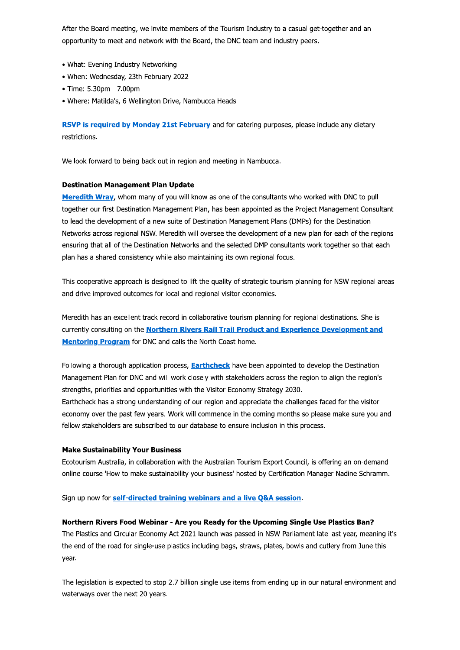After the Board meeting, we invite members of the Tourism Industry to a casual get-together and an opportunity to meet and network with the Board, the DNC team and industry peers. After the Board meeting, we invite members opportunity to meet and network with the Boord<br>
• What: Evening Industry Networking<br>
• When: Wednesday, 23th February 2022<br>
• Time: 5.30pm - 7.00pm<br>
• Where: Matilda's, 6 Wellingt After the Board meeting, we invir<br>
opportunity to meet and network<br>
• What: Evening Industry Netwo<br>
• When: Wednesday, 23th Febru<br>
• Time: 5.30pm - 7.00pm<br>
• Where: Matilda's, 6 Wellington<br> **RSVP is required by Monday**<br>
re

- $\bullet$  what: Evening Industry Networking
- $\bullet$  when: weanesday, 23th February 2022
- 
- $\bullet$  where: matilda's, 6 wellington Drive, Nambucca Heads

RSVP is required by Monday 21st February and for catering purposes, please include any dietary restrictions.

we look forward to being back out in region and meeting in Nambucca.

#### Destination Management Plan Update

**Meredith Wray,** whom many of you will know as one of the consultants who worked with DNC to pull together our first Destination Management Plan, has been appointed as the Project Management Consultant to lead the development of a new suite of Destination Management Plans (DMPs) for the Destination Networks across regional NSW. Meredith will oversee the development or a new plan for each of the regions ensuring that all of the Destination Networks and the selected DMP consultants work together so that each pian has a shared consistency while also maintaining its own regional focus.

This cooperative approach is designed to lift the quality of strategic tourism planning for NSW regional areas and drive improved outcomes for local and regional visitor economies.

Meredith has an excellent track record in collaborative tourism planning for regional destinations. She is currently consulting on the Northern Rivers Rail Trail Product and Experience Development and <u>Mentoring Program</u> for DNC and calls the North Coast nome.

Following a thorough application process, **Earthcheck** have been appointed to develop the Destination Management Plan for DNC and Will Work closely with stakenoiders across the region to align the region's light the state of the context of the context of the context of the context of the context of the context of the conte strengths, priorities and opportunities with the Visitor Economy Strat The Control of Superionce Development Coast home.<br>
Coast home.<br>
Coast home.<br>
Coast have been appointed to develop the Destin<br>
stakeholders across the region to align the r<br>
The Concomputer of Superior Superior of the view

Earthcheck has a strong understanding of our region and appreciate the challenges faced for the visitor economy over the past few years. Work will commence in the coming months so please make sure you and rellow stakenolders are subscribed to our database to ensure inclusion in this process.

#### Make Sustainability Your Business

Ecotourism Australia, in collaboration with the Australian Tourism Export Council, is offering an on-demand online course 'How to make sustainability your business' nosted by Certification Manager Nadine Schramm.

Sign up now for <mark>seif-directed training webinars and a live Q&A session</mark>.

#### Northern Rivers Food Webinar - Are you Ready for the Upcoming Single Use Plastics Ban?

The Plastics and Circular Economy Act 2021 launch was passed in NSW Parilament late last year, meaning it's the end of the road for single-use plastics including bags, straws, plates, bowis and cutlery from June this t year.

The legislation is expected to stop 2.7 billion single use items from ending up in our natural environment and waterways over the next 20 years.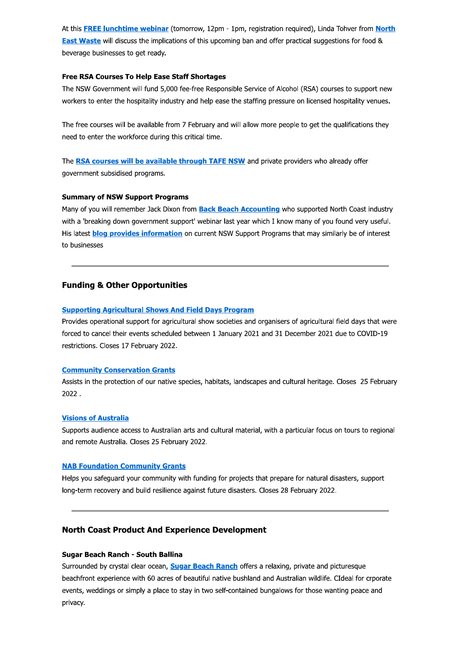At this FREE lunchtime webinar (tomorrow, 12pm - 1pm, registration required), Linda Tohver from North East Waste will discuss the implications of this upcoming ban and offer practical suggestions for food & beverage businesses to get ready.

#### Free RSA Courses To Help Ease Staff Shortages

The NSW Government will fund 5,000 fee-free Responsible Service of Alcohol (RSA) courses to support new workers to enter the hospitality industry and help ease the staffing pressure on licensed hospitality venues.

The free courses will be available from 7 February and will allow more people to get the qualifications they need to enter the workforce during this critical time.

The RSA courses will be available through TAFE NSW and private providers who already offer government subsidised programs.

#### **Summary of NSW Support Programs**

Many of you will remember Jack Dixon from Back Beach Accounting who supported North Coast industry with a 'breaking down government support' webinar last year which I know many of you found very useful. His latest blog provides information on current NSW Support Programs that may similarly be of interest to businesses

## **Funding & Other Opportunities**

#### **Supporting Agricultural Shows And Field Days Program**

Provides operational support for agricultural show societies and organisers of agricultural field days that were forced to cancel their events scheduled between 1 January 2021 and 31 December 2021 due to COVID-19 restrictions. Closes 17 February 2022.

#### **Community Conservation Grants**

Assists in the protection of our native species, habitats, landscapes and cultural heritage. Closes 25 February 2022.

#### **Visions of Australia**

Supports audience access to Australian arts and cultural material, with a particular focus on tours to regional and remote Australia. Closes 25 February 2022.

#### **NAB Foundation Community Grants**

Helps you safequard your community with funding for projects that prepare for natural disasters, support long-term recovery and build resilience against future disasters. Closes 28 February 2022.

## **North Coast Product And Experience Development**

#### **Sugar Beach Ranch - South Ballina**

Surrounded by crystal clear ocean, **Sugar Beach Ranch** offers a relaxing, private and picturesque beachfront experience with 60 acres of beautiful native bushland and Australian wildlife. CIdeal for crporate events, weddings or simply a place to stay in two self-contained bungalows for those wanting peace and privacy.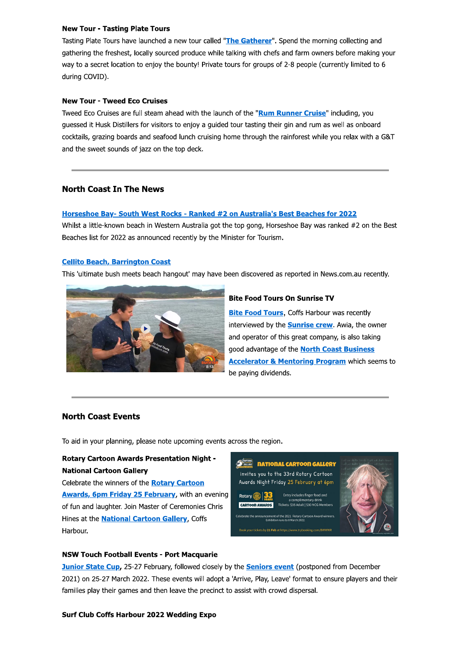#### **New Tour - Tasting Plate Tours**

Tasting Plate Tours have launched a new tour called "The Gatherer". Spend the morning collecting and gathering the freshest, locally sourced produce while talking with chefs and farm owners before making your way to a secret location to enjoy the bounty! Private tours for groups of 2-8 people (currently limited to 6 during COVID).

#### **New Tour - Tweed Eco Cruises**

Tweed Eco Cruises are full steam ahead with the launch of the "Rum Runner Cruise" including, you guessed it Husk Distillers for visitors to enjoy a guided tour tasting their gin and rum as well as onboard cocktails, grazing boards and seafood lunch cruising home through the rainforest while you relax with a G&T and the sweet sounds of jazz on the top deck.

## **North Coast In The News**

#### Horseshoe Bay- South West Rocks - Ranked #2 on Australia's Best Beaches for 2022

Whilst a little-known beach in Western Australia got the top gong, Horseshoe Bay was ranked #2 on the Best Beaches list for 2022 as announced recently by the Minister for Tourism.

#### **Cellito Beach, Barrington Coast**

This 'ultimate bush meets beach hangout' may have been discovered as reported in News.com.au recently.



#### **Bite Food Tours On Sunrise TV**

**Bite Food Tours**, Coffs Harbour was recently interviewed by the **Sunrise crew**. Awia, the owner and operator of this great company, is also taking good advantage of the **North Coast Business Accelerator & Mentoring Program which seems to** be paying dividends.

# **North Coast Events**

To aid in your planning, please note upcoming events across the region.

# **Rotary Cartoon Awards Presentation Night -National Cartoon Gallery**

Celebrate the winners of the Rotary Cartoon Awards, 6pm Friday 25 February, with an evening of fun and laughter. Join Master of Ceremonies Chris Hines at the **National Cartoon Gallery**, Coffs Harbour.



#### **NSW Touch Football Events - Port Macquarie**

**Junior State Cup, 25-27 February, followed closely by the Seniors event (postponed from December** 2021) on 25-27 March 2022. These events will adopt a 'Arrive, Play, Leave' format to ensure players and their families play their games and then leave the precinct to assist with crowd dispersal.